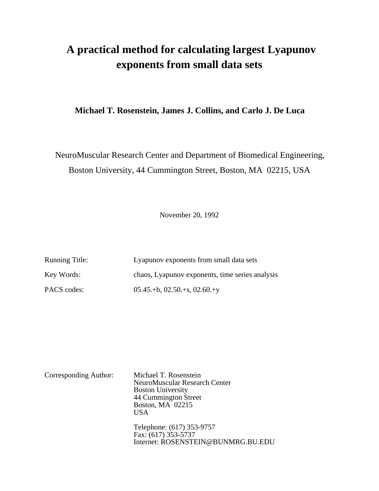# **A practical method for calculating largest Lyapunov exponents from small data sets**

### **Michael T. Rosenstein, James J. Collins, and Carlo J. De Luca**

NeuroMuscular Research Center and Department of Biomedical Engineering, Boston University, 44 Cummington Street, Boston, MA 02215, USA

November 20, 1992

| <b>Running Title:</b> | Lyapunov exponents from small data sets         |
|-----------------------|-------------------------------------------------|
| Key Words:            | chaos, Lyapunov exponents, time series analysis |
| PACS codes:           | $05.45.+b, 02.50.+s, 02.60.+y$                  |

| Corresponding Author: | Michael T. Rosenstein<br>NeuroMuscular Research Center<br><b>Boston University</b><br>44 Cummington Street<br>Boston, MA 02215<br>USA |
|-----------------------|---------------------------------------------------------------------------------------------------------------------------------------|
|                       | Telephone: (617) 353-9757<br>Fax: (617) 353-5737<br>Internet: ROSENSTEIN@BUNMRG.BU.EDU                                                |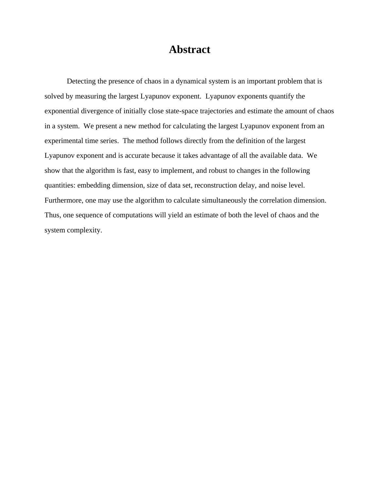## **Abstract**

Detecting the presence of chaos in a dynamical system is an important problem that is solved by measuring the largest Lyapunov exponent. Lyapunov exponents quantify the exponential divergence of initially close state-space trajectories and estimate the amount of chaos in a system. We present a new method for calculating the largest Lyapunov exponent from an experimental time series. The method follows directly from the definition of the largest Lyapunov exponent and is accurate because it takes advantage of all the available data. We show that the algorithm is fast, easy to implement, and robust to changes in the following quantities: embedding dimension, size of data set, reconstruction delay, and noise level. Furthermore, one may use the algorithm to calculate simultaneously the correlation dimension. Thus, one sequence of computations will yield an estimate of both the level of chaos and the system complexity.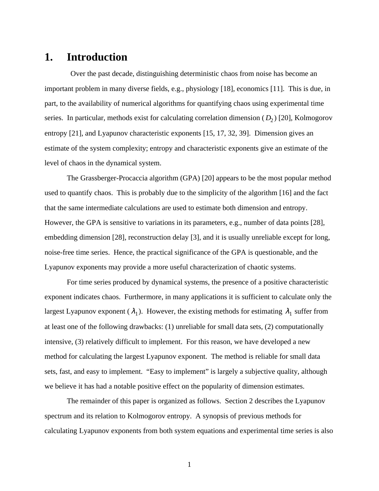### **1. Introduction**

 Over the past decade, distinguishing deterministic chaos from noise has become an important problem in many diverse fields, e.g., physiology [18], economics [11]. This is due, in part, to the availability of numerical algorithms for quantifying chaos using experimental time series. In particular, methods exist for calculating correlation dimension (*D*<sub>2</sub>) [20], Kolmogorov entropy [21], and Lyapunov characteristic exponents [15, 17, 32, 39]. Dimension gives an estimate of the system complexity; entropy and characteristic exponents give an estimate of the level of chaos in the dynamical system.

The Grassberger-Procaccia algorithm (GPA) [20] appears to be the most popular method used to quantify chaos. This is probably due to the simplicity of the algorithm [16] and the fact that the same intermediate calculations are used to estimate both dimension and entropy. However, the GPA is sensitive to variations in its parameters, e.g., number of data points [28], embedding dimension [28], reconstruction delay [3], and it is usually unreliable except for long, noise-free time series. Hence, the practical significance of the GPA is questionable, and the Lyapunov exponents may provide a more useful characterization of chaotic systems.

For time series produced by dynamical systems, the presence of a positive characteristic exponent indicates chaos. Furthermore, in many applications it is sufficient to calculate only the largest Lyapunov exponent ( $\lambda_1$ ). However, the existing methods for estimating  $\lambda_1$  suffer from at least one of the following drawbacks: (1) unreliable for small data sets, (2) computationally intensive, (3) relatively difficult to implement. For this reason, we have developed a new method for calculating the largest Lyapunov exponent. The method is reliable for small data sets, fast, and easy to implement. "Easy to implement" is largely a subjective quality, although we believe it has had a notable positive effect on the popularity of dimension estimates.

The remainder of this paper is organized as follows. Section 2 describes the Lyapunov spectrum and its relation to Kolmogorov entropy. A synopsis of previous methods for calculating Lyapunov exponents from both system equations and experimental time series is also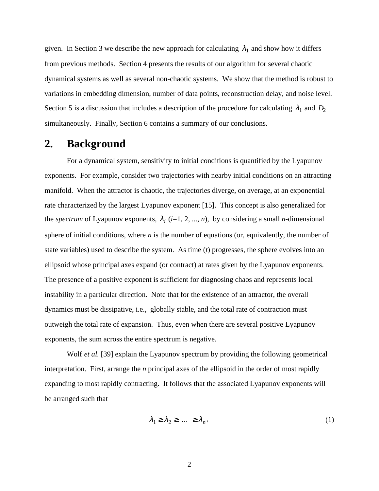given. In Section 3 we describe the new approach for calculating  $\lambda_1$  and show how it differs from previous methods. Section 4 presents the results of our algorithm for several chaotic dynamical systems as well as several non-chaotic systems. We show that the method is robust to variations in embedding dimension, number of data points, reconstruction delay, and noise level. Section 5 is a discussion that includes a description of the procedure for calculating  $\lambda_1$  and  $D_2$ simultaneously. Finally, Section 6 contains a summary of our conclusions.

### **2. Background**

For a dynamical system, sensitivity to initial conditions is quantified by the Lyapunov exponents. For example, consider two trajectories with nearby initial conditions on an attracting manifold. When the attractor is chaotic, the trajectories diverge, on average, at an exponential rate characterized by the largest Lyapunov exponent [15]. This concept is also generalized for the *spectrum* of Lyapunov exponents,  $\lambda_i$  (*i*=1, 2, ..., *n*), by considering a small *n*-dimensional sphere of initial conditions, where *n* is the number of equations (or, equivalently, the number of state variables) used to describe the system. As time (*t*) progresses, the sphere evolves into an ellipsoid whose principal axes expand (or contract) at rates given by the Lyapunov exponents. The presence of a positive exponent is sufficient for diagnosing chaos and represents local instability in a particular direction. Note that for the existence of an attractor, the overall dynamics must be dissipative, i.e., globally stable, and the total rate of contraction must outweigh the total rate of expansion. Thus, even when there are several positive Lyapunov exponents, the sum across the entire spectrum is negative.

Wolf *et al.* [39] explain the Lyapunov spectrum by providing the following geometrical interpretation. First, arrange the *n* principal axes of the ellipsoid in the order of most rapidly expanding to most rapidly contracting. It follows that the associated Lyapunov exponents will be arranged such that

$$
\lambda_1 \ge \lambda_2 \ge \dots \ge \lambda_n,\tag{1}
$$

2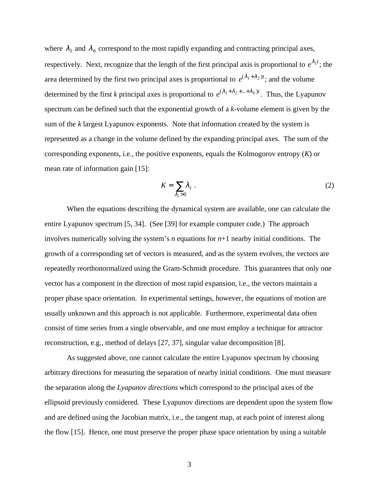where  $\lambda_1$  and  $\lambda_n$  correspond to the most rapidly expanding and contracting principal axes, respectively. Next, recognize that the length of the first principal axis is proportional to  $e^{\lambda_1 t}$ ; the area determined by the first two principal axes is proportional to  $e^{(\lambda_1 + \lambda_2)t}$ ; and the volume determined by the first *k* principal axes is proportional to  $e^{(\lambda_1 + \lambda_2 + ... + \lambda_k)t}$ . Thus, the Lyapunov spectrum can be defined such that the exponential growth of a *k*-volume element is given by the sum of the *k* largest Lyapunov exponents. Note that information created by the system is represented as a change in the volume defined by the expanding principal axes. The sum of the corresponding exponents, i.e., the positive exponents, equals the Kolmogorov entropy (*K*) or mean rate of information gain [15]:

$$
K = \sum_{\lambda_i > 0} \lambda_i \tag{2}
$$

When the equations describing the dynamical system are available, one can calculate the entire Lyapunov spectrum [5, 34]. (See [39] for example computer code.) The approach involves numerically solving the system's *n* equations for *n*+1 nearby initial conditions. The growth of a corresponding set of vectors is measured, and as the system evolves, the vectors are repeatedly reorthonormalized using the Gram-Schmidt procedure. This guarantees that only one vector has a component in the direction of most rapid expansion, i.e., the vectors maintain a proper phase space orientation. In experimental settings, however, the equations of motion are usually unknown and this approach is not applicable. Furthermore, experimental data often consist of time series from a single observable, and one must employ a technique for attractor reconstruction, e.g., method of delays [27, 37], singular value decomposition [8].

As suggested above, one cannot calculate the entire Lyapunov spectrum by choosing arbitrary directions for measuring the separation of nearby initial conditions. One must measure the separation along the *Lyapunov directions* which correspond to the principal axes of the ellipsoid previously considered. These Lyapunov directions are dependent upon the system flow and are defined using the Jacobian matrix, i.e., the tangent map, at each point of interest along the flow [15]. Hence, one must preserve the proper phase space orientation by using a suitable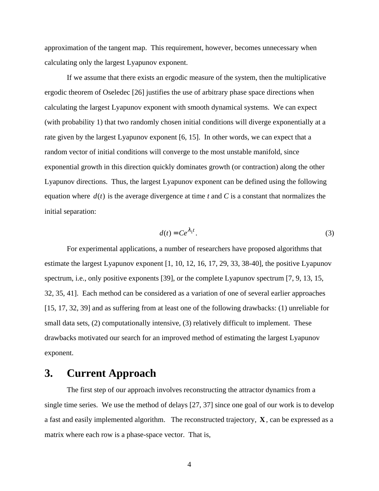approximation of the tangent map. This requirement, however, becomes unnecessary when calculating only the largest Lyapunov exponent.

If we assume that there exists an ergodic measure of the system, then the multiplicative ergodic theorem of Oseledec [26] justifies the use of arbitrary phase space directions when calculating the largest Lyapunov exponent with smooth dynamical systems. We can expect (with probability 1) that two randomly chosen initial conditions will diverge exponentially at a rate given by the largest Lyapunov exponent [6, 15]. In other words, we can expect that a random vector of initial conditions will converge to the most unstable manifold, since exponential growth in this direction quickly dominates growth (or contraction) along the other Lyapunov directions. Thus, the largest Lyapunov exponent can be defined using the following equation where  $d(t)$  is the average divergence at time  $t$  and  $C$  is a constant that normalizes the initial separation:

$$
d(t) = Ce^{\lambda_1 t}.
$$
 (3)

For experimental applications, a number of researchers have proposed algorithms that estimate the largest Lyapunov exponent [1, 10, 12, 16, 17, 29, 33, 38-40], the positive Lyapunov spectrum, i.e., only positive exponents [39], or the complete Lyapunov spectrum [7, 9, 13, 15, 32, 35, 41]. Each method can be considered as a variation of one of several earlier approaches [15, 17, 32, 39] and as suffering from at least one of the following drawbacks: (1) unreliable for small data sets, (2) computationally intensive, (3) relatively difficult to implement. These drawbacks motivated our search for an improved method of estimating the largest Lyapunov exponent.

### **3. Current Approach**

The first step of our approach involves reconstructing the attractor dynamics from a single time series. We use the method of delays [27, 37] since one goal of our work is to develop a fast and easily implemented algorithm. The reconstructed trajectory, **X**, can be expressed as a matrix where each row is a phase-space vector. That is,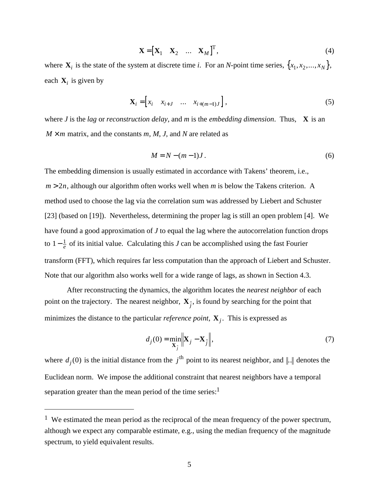$$
\mathbf{X} = \begin{bmatrix} \mathbf{X}_1 & \mathbf{X}_2 & \dots & \mathbf{X}_M \end{bmatrix}^\mathrm{T},\tag{4}
$$

where  $\mathbf{X}_i$  is the state of the system at discrete time *i*. For an *N*-point time series,  $\{x_1, x_2, ..., x_N\}$ , each  $\mathbf{X}_i$  is given by

$$
\mathbf{X}_{i} = \begin{bmatrix} x_{i} & x_{i+J} & \dots & x_{i+(m-1)J} \end{bmatrix},\tag{5}
$$

where *J* is the *lag* or *reconstruction delay*, and *m* is the *embedding dimension*. Thus, **X** is an  $M \times m$  matrix, and the constants *m*, *M*, *J*, and *N* are related as

$$
M = N - (m - 1)J. \tag{6}
$$

The embedding dimension is usually estimated in accordance with Takens' theorem, i.e.,  $m > 2n$ , although our algorithm often works well when *m* is below the Takens criterion. A method used to choose the lag via the correlation sum was addressed by Liebert and Schuster [23] (based on [19]). Nevertheless, determining the proper lag is still an open problem [4]. We have found a good approximation of *J* to equal the lag where the autocorrelation function drops to  $1-\frac{1}{e}$  $\frac{1}{e}$  of its initial value. Calculating this *J* can be accomplished using the fast Fourier transform (FFT), which requires far less computation than the approach of Liebert and Schuster. Note that our algorithm also works well for a wide range of lags, as shown in Section 4.3.

After reconstructing the dynamics, the algorithm locates the *nearest neighbor* of each point on the trajectory. The nearest neighbor,  $\mathbf{X}_{\hat{j}}$ , is found by searching for the point that minimizes the distance to the particular *reference point*, **X***<sup>j</sup>* . This is expressed as

$$
d_j(0) = \min_{\mathbf{X}_j} \left\| \mathbf{X}_j - \mathbf{X}_j \right\|,
$$
\n(7)

where  $d_j(0)$  is the initial distance from the  $j^{\text{th}}$  point to its nearest neighbor, and  $\| \cdot \|$  denotes the Euclidean norm. We impose the additional constraint that nearest neighbors have a temporal separation greater than the mean period of the time series: $<sup>1</sup>$ </sup>

 $\overline{a}$ 

 $1$  We estimated the mean period as the reciprocal of the mean frequency of the power spectrum, although we expect any comparable estimate, e.g., using the median frequency of the magnitude spectrum, to yield equivalent results.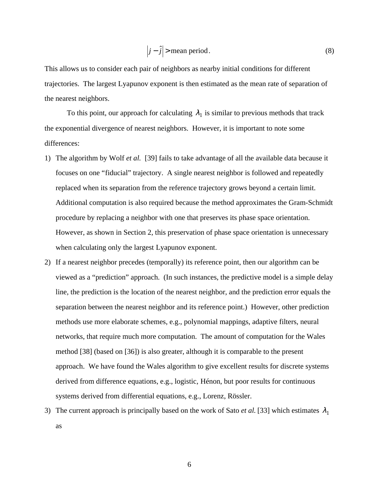$$
\left| j - \hat{j} \right| > \text{mean period.} \tag{8}
$$

This allows us to consider each pair of neighbors as nearby initial conditions for different trajectories. The largest Lyapunov exponent is then estimated as the mean rate of separation of the nearest neighbors.

To this point, our approach for calculating  $\lambda_1$  is similar to previous methods that track the exponential divergence of nearest neighbors. However, it is important to note some differences:

- 1) The algorithm by Wolf *et al.* [39] fails to take advantage of all the available data because it focuses on one "fiducial" trajectory. A single nearest neighbor is followed and repeatedly replaced when its separation from the reference trajectory grows beyond a certain limit. Additional computation is also required because the method approximates the Gram-Schmidt procedure by replacing a neighbor with one that preserves its phase space orientation. However, as shown in Section 2, this preservation of phase space orientation is unnecessary when calculating only the largest Lyapunov exponent.
- 2) If a nearest neighbor precedes (temporally) its reference point, then our algorithm can be viewed as a "prediction" approach. (In such instances, the predictive model is a simple delay line, the prediction is the location of the nearest neighbor, and the prediction error equals the separation between the nearest neighbor and its reference point.) However, other prediction methods use more elaborate schemes, e.g., polynomial mappings, adaptive filters, neural networks, that require much more computation. The amount of computation for the Wales method [38] (based on [36]) is also greater, although it is comparable to the present approach. We have found the Wales algorithm to give excellent results for discrete systems derived from difference equations, e.g., logistic, Hénon, but poor results for continuous systems derived from differential equations, e.g., Lorenz, Rössler.
- 3) The current approach is principally based on the work of Sato *et al.* [33] which estimates  $\lambda_1$ as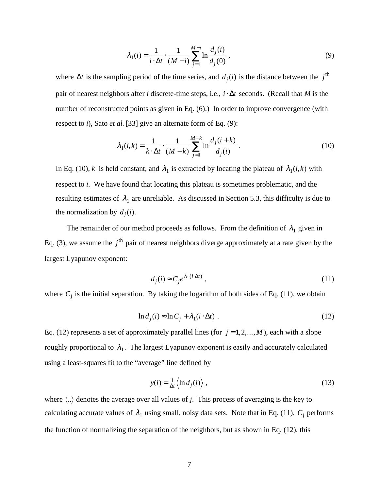$$
\lambda_1(i) = \frac{1}{i \cdot \Delta t} \cdot \frac{1}{(M - i)} \sum_{j=1}^{M - i} \ln \frac{d_j(i)}{d_j(0)},
$$
\n(9)

where  $\Delta t$  is the sampling period of the time series, and  $d_j(i)$  is the distance between the  $j^{\text{th}}$ pair of nearest neighbors after *i* discrete-time steps, i.e., *i* ⋅ ∆*t* seconds. (Recall that *M* is the number of reconstructed points as given in Eq. (6).) In order to improve convergence (with respect to *i*), Sato *et al.* [33] give an alternate form of Eq. (9):

$$
\lambda_1(i,k) = \frac{1}{k \cdot \Delta t} \cdot \frac{1}{(M-k)} \sum_{j=1}^{M-k} \ln \frac{d_j(i+k)}{d_j(i)} .
$$
\n(10)

In Eq. (10), *k* is held constant, and  $\lambda_1$  is extracted by locating the plateau of  $\lambda_1(i,k)$  with respect to *i*. We have found that locating this plateau is sometimes problematic, and the resulting estimates of  $\lambda_1$  are unreliable. As discussed in Section 5.3, this difficulty is due to the normalization by  $d_j(i)$ .

The remainder of our method proceeds as follows. From the definition of  $\lambda_1$  given in Eq. (3), we assume the *j*<sup>th</sup> pair of nearest neighbors diverge approximately at a rate given by the largest Lyapunov exponent:

$$
d_j(i) \approx C_j e^{\lambda_1(i \cdot \Delta t)} \tag{11}
$$

where  $C_j$  is the initial separation. By taking the logarithm of both sides of Eq. (11), we obtain

$$
\ln d_j(i) \approx \ln C_j + \lambda_1(i \cdot \Delta t) \tag{12}
$$

Eq. (12) represents a set of approximately parallel lines (for  $j = 1, 2, ..., M$ ), each with a slope roughly proportional to  $\lambda_1$ . The largest Lyapunov exponent is easily and accurately calculated using a least-squares fit to the "average" line defined by

$$
y(i) = \frac{1}{\Delta t} \langle \ln d_j(i) \rangle , \qquad (13)
$$

where  $\langle \ldots \rangle$  denotes the average over all values of *j*. This process of averaging is the key to calculating accurate values of  $\lambda_1$  using small, noisy data sets. Note that in Eq. (11),  $C_j$  performs the function of normalizing the separation of the neighbors, but as shown in Eq. (12), this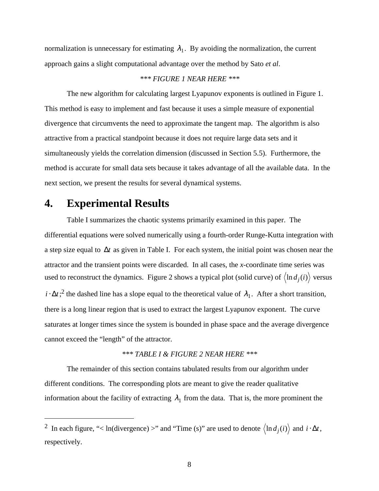normalization is unnecessary for estimating  $\lambda_1$ . By avoiding the normalization, the current approach gains a slight computational advantage over the method by Sato *et al*.

### *\*\*\* FIGURE 1 NEAR HERE \*\*\**

The new algorithm for calculating largest Lyapunov exponents is outlined in Figure 1. This method is easy to implement and fast because it uses a simple measure of exponential divergence that circumvents the need to approximate the tangent map. The algorithm is also attractive from a practical standpoint because it does not require large data sets and it simultaneously yields the correlation dimension (discussed in Section 5.5). Furthermore, the method is accurate for small data sets because it takes advantage of all the available data. In the next section, we present the results for several dynamical systems.

## **4. Experimental Results**

 $\overline{a}$ 

Table I summarizes the chaotic systems primarily examined in this paper. The differential equations were solved numerically using a fourth-order Runge-Kutta integration with a step size equal to ∆*t* as given in Table I. For each system, the initial point was chosen near the attractor and the transient points were discarded. In all cases, the *x*-coordinate time series was used to reconstruct the dynamics. Figure 2 shows a typical plot (solid curve) of  $\langle \ln d_j(i) \rangle$  versus  $i \cdot \Delta t$ <sup>2</sup>;<sup>2</sup> the dashed line has a slope equal to the theoretical value of  $\lambda_1$ . After a short transition, there is a long linear region that is used to extract the largest Lyapunov exponent. The curve saturates at longer times since the system is bounded in phase space and the average divergence cannot exceed the "length" of the attractor.

### *\*\*\* TABLE I & FIGURE 2 NEAR HERE \*\*\**

The remainder of this section contains tabulated results from our algorithm under different conditions. The corresponding plots are meant to give the reader qualitative information about the facility of extracting  $\lambda_1$  from the data. That is, the more prominent the

<sup>2</sup> In each figure, "< ln(divergence) >" and "Time (s)" are used to denote  $\langle \ln d_j(i) \rangle$  and  $i \cdot \Delta t$ , respectively.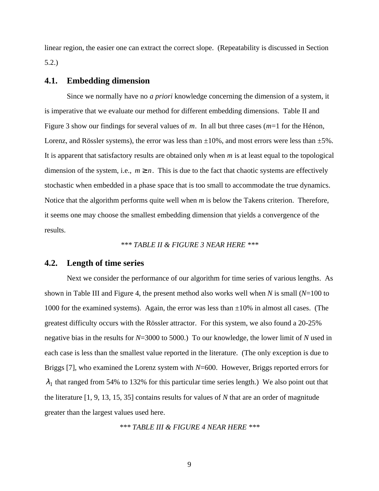linear region, the easier one can extract the correct slope. (Repeatability is discussed in Section 5.2.)

### **4.1. Embedding dimension**

Since we normally have no *a priori* knowledge concerning the dimension of a system, it is imperative that we evaluate our method for different embedding dimensions. Table II and Figure 3 show our findings for several values of *m*. In all but three cases (*m*=1 for the Hénon, Lorenz, and Rössler systems), the error was less than  $\pm 10\%$ , and most errors were less than  $\pm 5\%$ . It is apparent that satisfactory results are obtained only when *m* is at least equal to the topological dimension of the system, i.e.,  $m \ge n$ . This is due to the fact that chaotic systems are effectively stochastic when embedded in a phase space that is too small to accommodate the true dynamics. Notice that the algorithm performs quite well when *m* is below the Takens criterion. Therefore, it seems one may choose the smallest embedding dimension that yields a convergence of the results.

#### *\*\*\* TABLE II & FIGURE 3 NEAR HERE \*\*\**

### **4.2. Length of time series**

Next we consider the performance of our algorithm for time series of various lengths. As shown in Table III and Figure 4, the present method also works well when *N* is small (*N*=100 to 1000 for the examined systems). Again, the error was less than  $\pm 10\%$  in almost all cases. (The greatest difficulty occurs with the Rössler attractor. For this system, we also found a 20-25% negative bias in the results for *N*=3000 to 5000.) To our knowledge, the lower limit of *N* used in each case is less than the smallest value reported in the literature. (The only exception is due to Briggs [7], who examined the Lorenz system with *N*=600. However, Briggs reported errors for  $\lambda_1$  that ranged from 54% to 132% for this particular time series length.) We also point out that the literature [1, 9, 13, 15, 35] contains results for values of *N* that are an order of magnitude greater than the largest values used here.

*\*\*\* TABLE III & FIGURE 4 NEAR HERE \*\*\**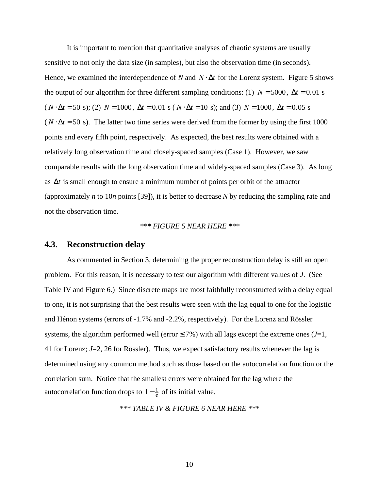It is important to mention that quantitative analyses of chaotic systems are usually sensitive to not only the data size (in samples), but also the observation time (in seconds). Hence, we examined the interdependence of *N* and  $N \cdot \Delta t$  for the Lorenz system. Figure 5 shows the output of our algorithm for three different sampling conditions: (1)  $N = 5000$ ,  $\Delta t = 0.01$  s  $(N \cdot \Delta t = 50 \text{ s})$ ; (2)  $N = 1000$ ,  $\Delta t = 0.01 \text{ s}$  ( $N \cdot \Delta t = 10 \text{ s}$ ); and (3)  $N = 1000$ ,  $\Delta t = 0.05 \text{ s}$  $(N \cdot \Delta t = 50 \text{ s})$ . The latter two time series were derived from the former by using the first 1000 points and every fifth point, respectively. As expected, the best results were obtained with a relatively long observation time and closely-spaced samples (Case 1). However, we saw comparable results with the long observation time and widely-spaced samples (Case 3). As long as ∆*t* is small enough to ensure a minimum number of points per orbit of the attractor (approximately *n* to 10*n* points [39]), it is better to decrease *N* by reducing the sampling rate and not the observation time.

#### *\*\*\* FIGURE 5 NEAR HERE \*\*\**

#### **4.3. Reconstruction delay**

As commented in Section 3, determining the proper reconstruction delay is still an open problem. For this reason, it is necessary to test our algorithm with different values of *J*. (See Table IV and Figure 6.) Since discrete maps are most faithfully reconstructed with a delay equal to one, it is not surprising that the best results were seen with the lag equal to one for the logistic and Hénon systems (errors of -1.7% and -2.2%, respectively). For the Lorenz and Rössler systems, the algorithm performed well (error  $\leq$  7%) with all lags except the extreme ones (*J*=1, 41 for Lorenz; *J*=2, 26 for Rössler). Thus, we expect satisfactory results whenever the lag is determined using any common method such as those based on the autocorrelation function or the correlation sum. Notice that the smallest errors were obtained for the lag where the autocorrelation function drops to  $1-\frac{1}{e}$  $\frac{1}{e}$  of its initial value.

*\*\*\* TABLE IV & FIGURE 6 NEAR HERE \*\*\**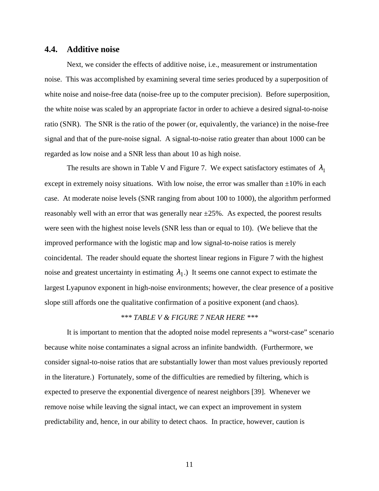### **4.4. Additive noise**

Next, we consider the effects of additive noise, i.e., measurement or instrumentation noise. This was accomplished by examining several time series produced by a superposition of white noise and noise-free data (noise-free up to the computer precision). Before superposition, the white noise was scaled by an appropriate factor in order to achieve a desired signal-to-noise ratio (SNR). The SNR is the ratio of the power (or, equivalently, the variance) in the noise-free signal and that of the pure-noise signal. A signal-to-noise ratio greater than about 1000 can be regarded as low noise and a SNR less than about 10 as high noise.

The results are shown in Table V and Figure 7. We expect satisfactory estimates of  $\lambda_1$ except in extremely noisy situations. With low noise, the error was smaller than  $\pm 10\%$  in each case. At moderate noise levels (SNR ranging from about 100 to 1000), the algorithm performed reasonably well with an error that was generally near  $\pm 25\%$ . As expected, the poorest results were seen with the highest noise levels (SNR less than or equal to 10). (We believe that the improved performance with the logistic map and low signal-to-noise ratios is merely coincidental. The reader should equate the shortest linear regions in Figure 7 with the highest noise and greatest uncertainty in estimating  $\lambda_1$ .) It seems one cannot expect to estimate the largest Lyapunov exponent in high-noise environments; however, the clear presence of a positive slope still affords one the qualitative confirmation of a positive exponent (and chaos).

### *\*\*\* TABLE V & FIGURE 7 NEAR HERE \*\*\**

It is important to mention that the adopted noise model represents a "worst-case" scenario because white noise contaminates a signal across an infinite bandwidth. (Furthermore, we consider signal-to-noise ratios that are substantially lower than most values previously reported in the literature.) Fortunately, some of the difficulties are remedied by filtering, which is expected to preserve the exponential divergence of nearest neighbors [39]. Whenever we remove noise while leaving the signal intact, we can expect an improvement in system predictability and, hence, in our ability to detect chaos. In practice, however, caution is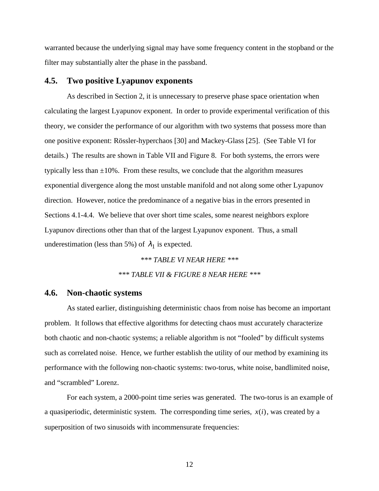warranted because the underlying signal may have some frequency content in the stopband or the filter may substantially alter the phase in the passband.

#### **4.5. Two positive Lyapunov exponents**

As described in Section 2, it is unnecessary to preserve phase space orientation when calculating the largest Lyapunov exponent. In order to provide experimental verification of this theory, we consider the performance of our algorithm with two systems that possess more than one positive exponent: Rössler-hyperchaos [30] and Mackey-Glass [25]. (See Table VI for details.) The results are shown in Table VII and Figure 8. For both systems, the errors were typically less than  $\pm 10\%$ . From these results, we conclude that the algorithm measures exponential divergence along the most unstable manifold and not along some other Lyapunov direction. However, notice the predominance of a negative bias in the errors presented in Sections 4.1-4.4. We believe that over short time scales, some nearest neighbors explore Lyapunov directions other than that of the largest Lyapunov exponent. Thus, a small underestimation (less than 5%) of  $\lambda_1$  is expected.

> *\*\*\* TABLE VI NEAR HERE \*\*\* \*\*\* TABLE VII & FIGURE 8 NEAR HERE \*\*\**

### **4.6. Non-chaotic systems**

As stated earlier, distinguishing deterministic chaos from noise has become an important problem. It follows that effective algorithms for detecting chaos must accurately characterize both chaotic and non-chaotic systems; a reliable algorithm is not "fooled" by difficult systems such as correlated noise. Hence, we further establish the utility of our method by examining its performance with the following non-chaotic systems: two-torus, white noise, bandlimited noise, and "scrambled" Lorenz.

For each system, a 2000-point time series was generated. The two-torus is an example of a quasiperiodic, deterministic system. The corresponding time series,  $x(i)$ , was created by a superposition of two sinusoids with incommensurate frequencies: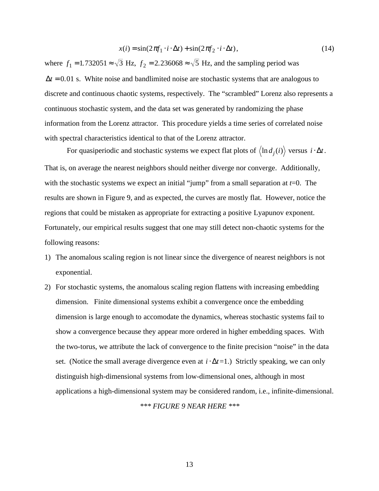$$
x(i) = \sin(2\pi f_1 \cdot i \cdot \Delta t) + \sin(2\pi f_2 \cdot i \cdot \Delta t), \tag{14}
$$

where  $f_1 = 1.732051 \approx \sqrt{3}$  Hz,  $f_2 = 2.236068 \approx \sqrt{5}$  Hz, and the sampling period was  $\Delta t = 0.01$  s. White noise and bandlimited noise are stochastic systems that are analogous to discrete and continuous chaotic systems, respectively. The "scrambled" Lorenz also represents a continuous stochastic system, and the data set was generated by randomizing the phase information from the Lorenz attractor. This procedure yields a time series of correlated noise with spectral characteristics identical to that of the Lorenz attractor.

For quasiperiodic and stochastic systems we expect flat plots of  $\langle \ln d_j(i) \rangle$  versus  $i \cdot \Delta t$ . That is, on average the nearest neighbors should neither diverge nor converge. Additionally, with the stochastic systems we expect an initial "jump" from a small separation at *t*=0. The results are shown in Figure 9, and as expected, the curves are mostly flat. However, notice the regions that could be mistaken as appropriate for extracting a positive Lyapunov exponent. Fortunately, our empirical results suggest that one may still detect non-chaotic systems for the following reasons:

- 1) The anomalous scaling region is not linear since the divergence of nearest neighbors is not exponential.
- 2) For stochastic systems, the anomalous scaling region flattens with increasing embedding dimension. Finite dimensional systems exhibit a convergence once the embedding dimension is large enough to accomodate the dynamics, whereas stochastic systems fail to show a convergence because they appear more ordered in higher embedding spaces. With the two-torus, we attribute the lack of convergence to the finite precision "noise" in the data set. (Notice the small average divergence even at *i* ⋅ ∆*t*=1.) Strictly speaking, we can only distinguish high-dimensional systems from low-dimensional ones, although in most applications a high-dimensional system may be considered random, i.e., infinite-dimensional. *\*\*\* FIGURE 9 NEAR HERE \*\*\**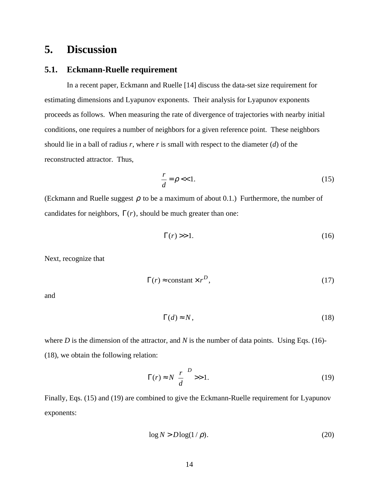## **5. Discussion**

### **5.1. Eckmann-Ruelle requirement**

In a recent paper, Eckmann and Ruelle [14] discuss the data-set size requirement for estimating dimensions and Lyapunov exponents. Their analysis for Lyapunov exponents proceeds as follows. When measuring the rate of divergence of trajectories with nearby initial conditions, one requires a number of neighbors for a given reference point. These neighbors should lie in a ball of radius *r*, where *r* is small with respect to the diameter (*d*) of the reconstructed attractor. Thus,

$$
\frac{r}{d} = \rho \ll 1. \tag{15}
$$

(Eckmann and Ruelle suggest  $\rho$  to be a maximum of about 0.1.) Furthermore, the number of candidates for neighbors,  $\Gamma(r)$ , should be much greater than one:

$$
\Gamma(r) >> 1. \tag{16}
$$

Next, recognize that

$$
\Gamma(r) \approx \text{constant} \times r^D,\tag{17}
$$

and

$$
\Gamma(d) \approx N,\tag{18}
$$

where *D* is the dimension of the attractor, and *N* is the number of data points. Using Eqs. (16)-(18), we obtain the following relation:

$$
\Gamma(r) \approx N \left(\frac{r}{d}\right)^D >> 1.
$$
\n(19)

Finally, Eqs. (15) and (19) are combined to give the Eckmann-Ruelle requirement for Lyapunov exponents:

$$
\log N > D \log(1/\rho). \tag{20}
$$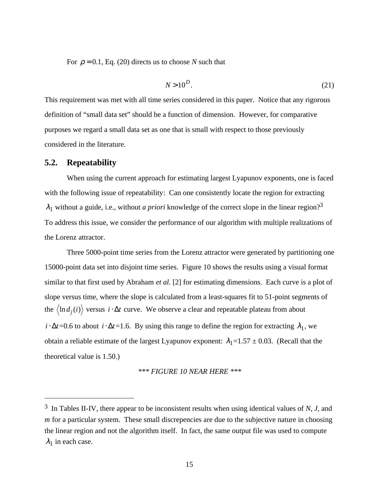For  $\rho = 0.1$ , Eq. (20) directs us to choose *N* such that

$$
N > 10^D. \tag{21}
$$

This requirement was met with all time series considered in this paper. Notice that any rigorous definition of "small data set" should be a function of dimension. However, for comparative purposes we regard a small data set as one that is small with respect to those previously considered in the literature.

#### **5.2. Repeatability**

 $\overline{a}$ 

When using the current approach for estimating largest Lyapunov exponents, one is faced with the following issue of repeatability: Can one consistently locate the region for extracting  $\lambda_1$  without a guide, i.e., without *a priori* knowledge of the correct slope in the linear region?<sup>3</sup> To address this issue, we consider the performance of our algorithm with multiple realizations of the Lorenz attractor.

Three 5000-point time series from the Lorenz attractor were generated by partitioning one 15000-point data set into disjoint time series. Figure 10 shows the results using a visual format similar to that first used by Abraham *et al.* [2] for estimating dimensions. Each curve is a plot of slope versus time, where the slope is calculated from a least-squares fit to 51-point segments of the  $\langle \ln d_j(i) \rangle$  versus *i* ⋅ ∆*t* curve. We observe a clear and repeatable plateau from about  $i \cdot \Delta t = 0.6$  to about  $i \cdot \Delta t = 1.6$ . By using this range to define the region for extracting  $\lambda_1$ , we obtain a reliable estimate of the largest Lyapunov exponent:  $\lambda_1 = 1.57 \pm 0.03$ . (Recall that the theoretical value is 1.50.)

*\*\*\* FIGURE 10 NEAR HERE \*\*\**

<sup>3</sup> In Tables II-IV, there appear to be inconsistent results when using identical values of *N*, *J*, and *m* for a particular system. These small discrepencies are due to the subjective nature in choosing the linear region and not the algorithm itself. In fact, the same output file was used to compute  $\lambda_1$  in each case.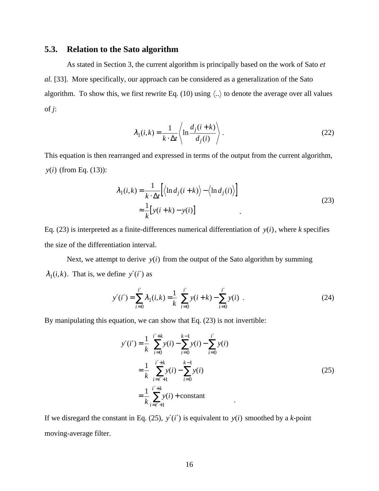### **5.3. Relation to the Sato algorithm**

As stated in Section 3, the current algorithm is principally based on the work of Sato *et al.* [33]. More specifically, our approach can be considered as a generalization of the Sato algorithm. To show this, we first rewrite Eq. (10) using  $\langle .. \rangle$  to denote the average over all values of *j*:

$$
\lambda_1(i,k) = \frac{1}{k \cdot \Delta t} \left\langle \ln \frac{d_j(i+k)}{d_j(i)} \right\rangle.
$$
\n(22)

This equation is then rearranged and expressed in terms of the output from the current algorithm, *y*(*i*) (from Eq. (13)):

$$
\lambda_1(i,k) = \frac{1}{k \cdot \Delta t} \Big[ \langle \ln d_j(i+k) \rangle - \langle \ln d_j(i) \rangle \Big]
$$
  

$$
\approx \frac{1}{k} \Big[ y(i+k) - y(i) \Big]
$$
 (23)

Eq. (23) is interpreted as a finite-differences numerical differentiation of  $y(i)$ , where *k* specifies the size of the differentiation interval.

Next, we attempt to derive  $y(i)$  from the output of the Sato algorithm by summing  $\lambda_1(i,k)$ . That is, we define  $y'(i')$  as

$$
y'(i') = \sum_{i=0}^{i'} \lambda_1(i,k) = \frac{1}{k} \left[ \sum_{i=0}^{i'} y(i+k) - \sum_{i=0}^{i'} y(i) \right].
$$
 (24)

By manipulating this equation, we can show that Eq. (23) is not invertible:

$$
y'(i') = \frac{1}{k} \left[ \sum_{i=0}^{i'+k} y(i) - \sum_{i=0}^{k-1} y(i) - \sum_{i=0}^{i'} y(i) \right]
$$
  
= 
$$
\frac{1}{k} \left[ \sum_{i=i'+1}^{i'+k} y(i) - \sum_{i=0}^{k-1} y(i) \right]
$$
  
= 
$$
\frac{1}{k} \sum_{i=i'+1}^{i'+k} y(i) + \text{constant}
$$
 (25)

If we disregard the constant in Eq. (25),  $y'(i')$  is equivalent to  $y(i)$  smoothed by a *k*-point moving-average filter.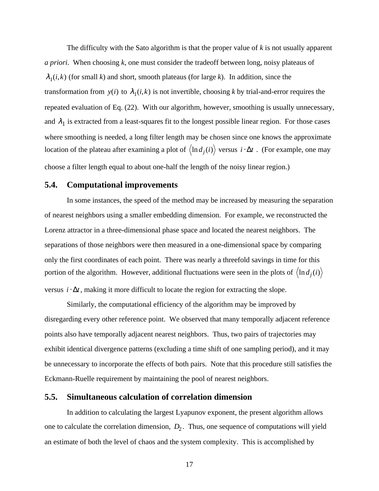The difficulty with the Sato algorithm is that the proper value of *k* is not usually apparent *a priori*. When choosing *k*, one must consider the tradeoff between long, noisy plateaus of  $\lambda_1(i,k)$  (for small *k*) and short, smooth plateaus (for large *k*). In addition, since the transformation from  $y(i)$  to  $\lambda_1(i,k)$  is not invertible, choosing *k* by trial-and-error requires the repeated evaluation of Eq. (22). With our algorithm, however, smoothing is usually unnecessary, and  $\lambda_1$  is extracted from a least-squares fit to the longest possible linear region. For those cases where smoothing is needed, a long filter length may be chosen since one knows the approximate location of the plateau after examining a plot of  $\langle \ln d_j(i) \rangle$  versus *i* ⋅  $\Delta t$  . (For example, one may choose a filter length equal to about one-half the length of the noisy linear region.)

#### **5.4. Computational improvements**

In some instances, the speed of the method may be increased by measuring the separation of nearest neighbors using a smaller embedding dimension. For example, we reconstructed the Lorenz attractor in a three-dimensional phase space and located the nearest neighbors. The separations of those neighbors were then measured in a one-dimensional space by comparing only the first coordinates of each point. There was nearly a threefold savings in time for this portion of the algorithm. However, additional fluctuations were seen in the plots of  $\langle \ln d_j(i) \rangle$ versus  $i \cdot \Delta t$ , making it more difficult to locate the region for extracting the slope.

Similarly, the computational efficiency of the algorithm may be improved by disregarding every other reference point. We observed that many temporally adjacent reference points also have temporally adjacent nearest neighbors. Thus, two pairs of trajectories may exhibit identical divergence patterns (excluding a time shift of one sampling period), and it may be unnecessary to incorporate the effects of both pairs. Note that this procedure still satisfies the Eckmann-Ruelle requirement by maintaining the pool of nearest neighbors.

### **5.5. Simultaneous calculation of correlation dimension**

In addition to calculating the largest Lyapunov exponent, the present algorithm allows one to calculate the correlation dimension,  $D_2$ . Thus, one sequence of computations will yield an estimate of both the level of chaos and the system complexity. This is accomplished by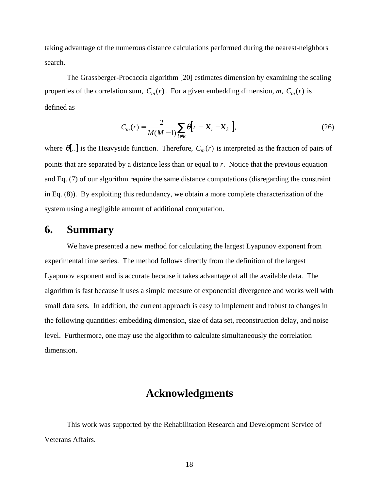taking advantage of the numerous distance calculations performed during the nearest-neighbors search.

The Grassberger-Procaccia algorithm [20] estimates dimension by examining the scaling properties of the correlation sum,  $C_m(r)$ . For a given embedding dimension, *m*,  $C_m(r)$  is defined as

$$
C_m(r) = \frac{2}{M(M-1)} \sum_{i \neq k} \theta \Big[ r - \left\| \mathbf{X}_i - \mathbf{X}_k \right\| \Big],\tag{26}
$$

where  $\theta$ [..] is the Heavyside function. Therefore,  $C_m(r)$  is interpreted as the fraction of pairs of points that are separated by a distance less than or equal to *r*. Notice that the previous equation and Eq. (7) of our algorithm require the same distance computations (disregarding the constraint in Eq. (8)). By exploiting this redundancy, we obtain a more complete characterization of the system using a negligible amount of additional computation.

### **6. Summary**

We have presented a new method for calculating the largest Lyapunov exponent from experimental time series. The method follows directly from the definition of the largest Lyapunov exponent and is accurate because it takes advantage of all the available data. The algorithm is fast because it uses a simple measure of exponential divergence and works well with small data sets. In addition, the current approach is easy to implement and robust to changes in the following quantities: embedding dimension, size of data set, reconstruction delay, and noise level. Furthermore, one may use the algorithm to calculate simultaneously the correlation dimension.

### **Acknowledgments**

This work was supported by the Rehabilitation Research and Development Service of Veterans Affairs.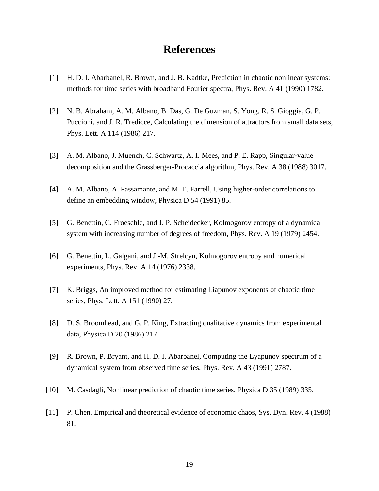## **References**

- [1] H. D. I. Abarbanel, R. Brown, and J. B. Kadtke, Prediction in chaotic nonlinear systems: methods for time series with broadband Fourier spectra, Phys. Rev. A 41 (1990) 1782.
- [2] N. B. Abraham, A. M. Albano, B. Das, G. De Guzman, S. Yong, R. S. Gioggia, G. P. Puccioni, and J. R. Tredicce, Calculating the dimension of attractors from small data sets, Phys. Lett. A 114 (1986) 217.
- [3] A. M. Albano, J. Muench, C. Schwartz, A. I. Mees, and P. E. Rapp, Singular-value decomposition and the Grassberger-Procaccia algorithm, Phys. Rev. A 38 (1988) 3017.
- [4] A. M. Albano, A. Passamante, and M. E. Farrell, Using higher-order correlations to define an embedding window, Physica D 54 (1991) 85.
- [5] G. Benettin, C. Froeschle, and J. P. Scheidecker, Kolmogorov entropy of a dynamical system with increasing number of degrees of freedom, Phys. Rev. A 19 (1979) 2454.
- [6] G. Benettin, L. Galgani, and J.-M. Strelcyn, Kolmogorov entropy and numerical experiments, Phys. Rev. A 14 (1976) 2338.
- [7] K. Briggs, An improved method for estimating Liapunov exponents of chaotic time series, Phys. Lett. A 151 (1990) 27.
- [8] D. S. Broomhead, and G. P. King, Extracting qualitative dynamics from experimental data, Physica D 20 (1986) 217.
- [9] R. Brown, P. Bryant, and H. D. I. Abarbanel, Computing the Lyapunov spectrum of a dynamical system from observed time series, Phys. Rev. A 43 (1991) 2787.
- [10] M. Casdagli, Nonlinear prediction of chaotic time series, Physica D 35 (1989) 335.
- [11] P. Chen, Empirical and theoretical evidence of economic chaos, Sys. Dyn. Rev. 4 (1988) 81.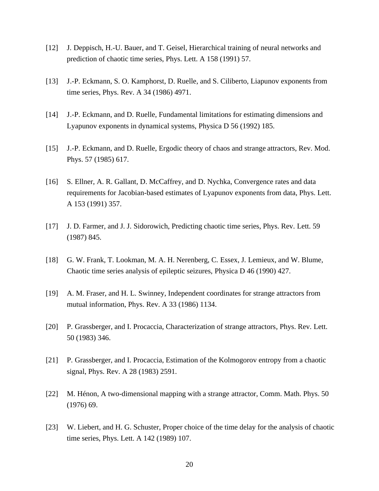- [12] J. Deppisch, H.-U. Bauer, and T. Geisel, Hierarchical training of neural networks and prediction of chaotic time series, Phys. Lett. A 158 (1991) 57.
- [13] J.-P. Eckmann, S. O. Kamphorst, D. Ruelle, and S. Ciliberto, Liapunov exponents from time series, Phys. Rev. A 34 (1986) 4971.
- [14] J.-P. Eckmann, and D. Ruelle, Fundamental limitations for estimating dimensions and Lyapunov exponents in dynamical systems, Physica D 56 (1992) 185.
- [15] J.-P. Eckmann, and D. Ruelle, Ergodic theory of chaos and strange attractors, Rev. Mod. Phys. 57 (1985) 617.
- [16] S. Ellner, A. R. Gallant, D. McCaffrey, and D. Nychka, Convergence rates and data requirements for Jacobian-based estimates of Lyapunov exponents from data, Phys. Lett. A 153 (1991) 357.
- [17] J. D. Farmer, and J. J. Sidorowich, Predicting chaotic time series, Phys. Rev. Lett. 59 (1987) 845.
- [18] G. W. Frank, T. Lookman, M. A. H. Nerenberg, C. Essex, J. Lemieux, and W. Blume, Chaotic time series analysis of epileptic seizures, Physica D 46 (1990) 427.
- [19] A. M. Fraser, and H. L. Swinney, Independent coordinates for strange attractors from mutual information, Phys. Rev. A 33 (1986) 1134.
- [20] P. Grassberger, and I. Procaccia, Characterization of strange attractors, Phys. Rev. Lett. 50 (1983) 346.
- [21] P. Grassberger, and I. Procaccia, Estimation of the Kolmogorov entropy from a chaotic signal, Phys. Rev. A 28 (1983) 2591.
- [22] M. Hénon, A two-dimensional mapping with a strange attractor, Comm. Math. Phys. 50 (1976) 69.
- [23] W. Liebert, and H. G. Schuster, Proper choice of the time delay for the analysis of chaotic time series, Phys. Lett. A 142 (1989) 107.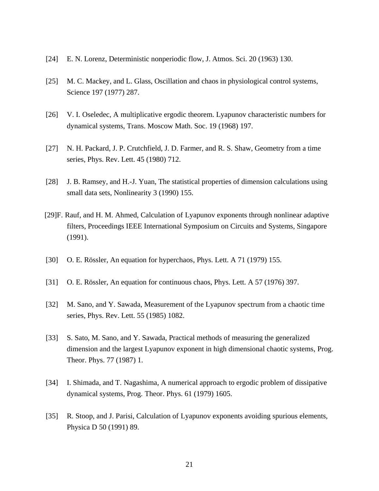- [24] E. N. Lorenz, Deterministic nonperiodic flow, J. Atmos. Sci. 20 (1963) 130.
- [25] M. C. Mackey, and L. Glass, Oscillation and chaos in physiological control systems, Science 197 (1977) 287.
- [26] V. I. Oseledec, A multiplicative ergodic theorem. Lyapunov characteristic numbers for dynamical systems, Trans. Moscow Math. Soc. 19 (1968) 197.
- [27] N. H. Packard, J. P. Crutchfield, J. D. Farmer, and R. S. Shaw, Geometry from a time series, Phys. Rev. Lett. 45 (1980) 712.
- [28] J. B. Ramsey, and H.-J. Yuan, The statistical properties of dimension calculations using small data sets, Nonlinearity 3 (1990) 155.
- [29]F. Rauf, and H. M. Ahmed, Calculation of Lyapunov exponents through nonlinear adaptive filters, Proceedings IEEE International Symposium on Circuits and Systems, Singapore (1991).
- [30] O. E. Rössler, An equation for hyperchaos, Phys. Lett. A 71 (1979) 155.
- [31] O. E. Rössler, An equation for continuous chaos, Phys. Lett. A 57 (1976) 397.
- [32] M. Sano, and Y. Sawada, Measurement of the Lyapunov spectrum from a chaotic time series, Phys. Rev. Lett. 55 (1985) 1082.
- [33] S. Sato, M. Sano, and Y. Sawada, Practical methods of measuring the generalized dimension and the largest Lyapunov exponent in high dimensional chaotic systems, Prog. Theor. Phys. 77 (1987) 1.
- [34] I. Shimada, and T. Nagashima, A numerical approach to ergodic problem of dissipative dynamical systems, Prog. Theor. Phys. 61 (1979) 1605.
- [35] R. Stoop, and J. Parisi, Calculation of Lyapunov exponents avoiding spurious elements, Physica D 50 (1991) 89.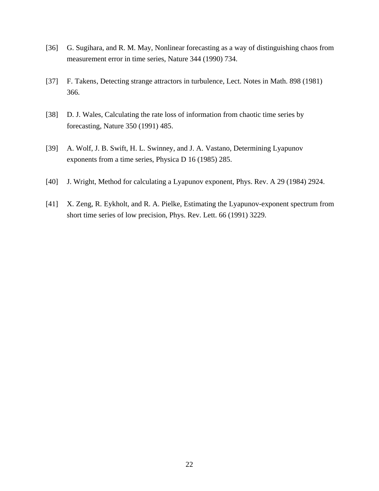- [36] G. Sugihara, and R. M. May, Nonlinear forecasting as a way of distinguishing chaos from measurement error in time series, Nature 344 (1990) 734.
- [37] F. Takens, Detecting strange attractors in turbulence, Lect. Notes in Math. 898 (1981) 366.
- [38] D. J. Wales, Calculating the rate loss of information from chaotic time series by forecasting, Nature 350 (1991) 485.
- [39] A. Wolf, J. B. Swift, H. L. Swinney, and J. A. Vastano, Determining Lyapunov exponents from a time series, Physica D 16 (1985) 285.
- [40] J. Wright, Method for calculating a Lyapunov exponent, Phys. Rev. A 29 (1984) 2924.
- [41] X. Zeng, R. Eykholt, and R. A. Pielke, Estimating the Lyapunov-exponent spectrum from short time series of low precision, Phys. Rev. Lett. 66 (1991) 3229.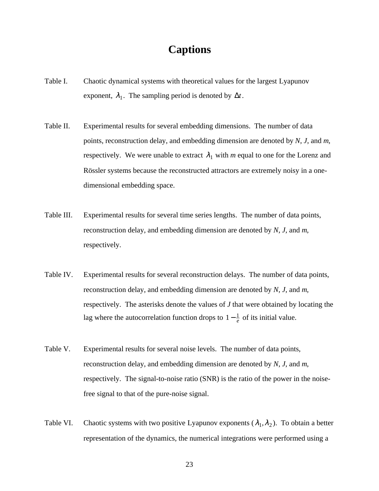## **Captions**

- Table I. Chaotic dynamical systems with theoretical values for the largest Lyapunov exponent,  $\lambda_1$ . The sampling period is denoted by  $\Delta t$ .
- Table II. Experimental results for several embedding dimensions. The number of data points, reconstruction delay, and embedding dimension are denoted by *N*, *J*, and *m*, respectively. We were unable to extract  $\lambda_1$  with *m* equal to one for the Lorenz and Rössler systems because the reconstructed attractors are extremely noisy in a onedimensional embedding space.
- Table III. Experimental results for several time series lengths. The number of data points, reconstruction delay, and embedding dimension are denoted by *N*, *J*, and *m*, respectively.
- Table IV. Experimental results for several reconstruction delays. The number of data points, reconstruction delay, and embedding dimension are denoted by *N*, *J*, and *m*, respectively. The asterisks denote the values of *J* that were obtained by locating the lag where the autocorrelation function drops to  $1-\frac{1}{e}$  $\frac{1}{e}$  of its initial value.
- Table V. Experimental results for several noise levels. The number of data points, reconstruction delay, and embedding dimension are denoted by *N*, *J*, and *m*, respectively. The signal-to-noise ratio (SNR) is the ratio of the power in the noisefree signal to that of the pure-noise signal.
- Table VI. Chaotic systems with two positive Lyapunov exponents  $(\lambda_1, \lambda_2)$ . To obtain a better representation of the dynamics, the numerical integrations were performed using a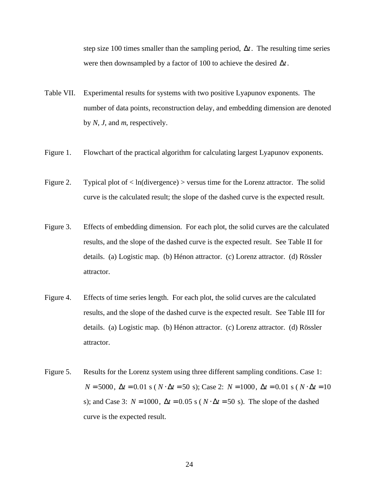step size 100 times smaller than the sampling period, ∆*t*. The resulting time series were then downsampled by a factor of 100 to achieve the desired ∆*t*.

- Table VII. Experimental results for systems with two positive Lyapunov exponents. The number of data points, reconstruction delay, and embedding dimension are denoted by *N*, *J*, and *m*, respectively.
- Figure 1. Flowchart of the practical algorithm for calculating largest Lyapunov exponents.
- Figure 2. Typical plot of  $\langle \ln(d \text{ivergence}) \rangle$  versus time for the Lorenz attractor. The solid curve is the calculated result; the slope of the dashed curve is the expected result.
- Figure 3. Effects of embedding dimension. For each plot, the solid curves are the calculated results, and the slope of the dashed curve is the expected result. See Table II for details. (a) Logistic map. (b) Hénon attractor. (c) Lorenz attractor. (d) Rössler attractor.
- Figure 4. Effects of time series length. For each plot, the solid curves are the calculated results, and the slope of the dashed curve is the expected result. See Table III for details. (a) Logistic map. (b) Hénon attractor. (c) Lorenz attractor. (d) Rössler attractor.
- Figure 5. Results for the Lorenz system using three different sampling conditions. Case 1:  $N = 5000$ ,  $\Delta t = 0.01$  s ( $N \cdot \Delta t = 50$  s); Case 2:  $N = 1000$ ,  $\Delta t = 0.01$  s ( $N \cdot \Delta t = 10$ s); and Case 3:  $N = 1000$ ,  $\Delta t = 0.05$  s ( $N \cdot \Delta t = 50$  s). The slope of the dashed curve is the expected result.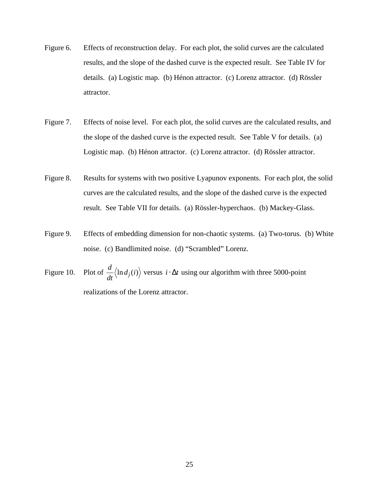- Figure 6. Effects of reconstruction delay. For each plot, the solid curves are the calculated results, and the slope of the dashed curve is the expected result. See Table IV for details. (a) Logistic map. (b) Hénon attractor. (c) Lorenz attractor. (d) Rössler attractor.
- Figure 7. Effects of noise level. For each plot, the solid curves are the calculated results, and the slope of the dashed curve is the expected result. See Table V for details. (a) Logistic map. (b) Hénon attractor. (c) Lorenz attractor. (d) Rössler attractor.
- Figure 8. Results for systems with two positive Lyapunov exponents. For each plot, the solid curves are the calculated results, and the slope of the dashed curve is the expected result. See Table VII for details. (a) Rössler-hyperchaos. (b) Mackey-Glass.
- Figure 9. Effects of embedding dimension for non-chaotic systems. (a) Two-torus. (b) White noise. (c) Bandlimited noise. (d) "Scrambled" Lorenz.
- Figure 10. Plot of  $\frac{d}{dt}$  $\frac{d}{dt}$  \ln *d<sub>j</sub>*(*i*) versus *i* ⋅ ∆*t* using our algorithm with three 5000-point realizations of the Lorenz attractor.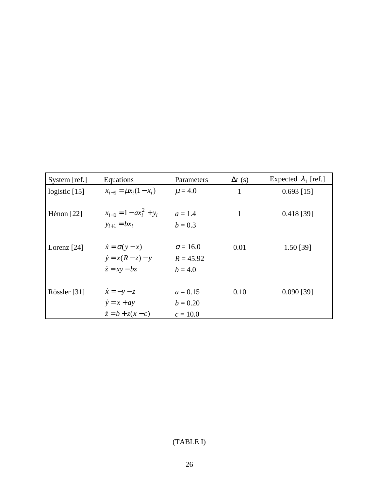| System [ref.]   | Equations                     | Parameters      | $\Delta t$ (s) | Expected $\lambda_1$ [ref.] |
|-----------------|-------------------------------|-----------------|----------------|-----------------------------|
| logistic $[15]$ | $x_{i+1} = \mu x_i (1 - x_i)$ | $\mu = 4.0$     | $\mathbf{1}$   | $0.693$ [15]                |
|                 |                               |                 |                |                             |
| Hénon $[22]$    | $x_{i+1} = 1 - ax_i^2 + y_i$  | $a = 1.4$       | $\mathbf{1}$   | $0.418$ [39]                |
|                 | $y_{i+1} = bx_i$              | $b = 0.3$       |                |                             |
|                 |                               |                 |                |                             |
| Lorenz $[24]$   | $\dot{x} = \sigma(y - x)$     | $\sigma = 16.0$ | 0.01           | 1.50 [39]                   |
|                 | $\dot{y} = x(R - z) - y$      | $R = 45.92$     |                |                             |
|                 | $\dot{z} = xy - bz$           | $b = 4.0$       |                |                             |
|                 |                               |                 |                |                             |
| Rössler [31]    | $\dot{x} = -y - z$            | $a = 0.15$      | 0.10           | $0.090$ [39]                |
|                 | $\dot{y} = x + ay$            | $b = 0.20$      |                |                             |
|                 | $\dot{z} = b + z(x - c)$      | $c = 10.0$      |                |                             |

## (TABLE I)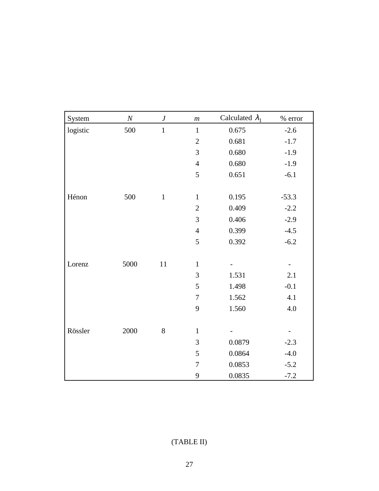| System   | $\boldsymbol{N}$ | $\pmb{J}$    | $\boldsymbol{m}$ | Calculated $\lambda_1$ | $\%$ error |
|----------|------------------|--------------|------------------|------------------------|------------|
| logistic | 500              | $\mathbf{1}$ | $\mathbf{1}$     | 0.675                  | $-2.6$     |
|          |                  |              | $\overline{2}$   | 0.681                  | $-1.7$     |
|          |                  |              | 3                | 0.680                  | $-1.9$     |
|          |                  |              | $\overline{4}$   | 0.680                  | $-1.9$     |
|          |                  |              | $\mathfrak s$    | 0.651                  | $-6.1$     |
| Hénon    | 500              | $\mathbf{1}$ | $\mathbf{1}$     | 0.195                  | $-53.3$    |
|          |                  |              | $\sqrt{2}$       | 0.409                  | $-2.2$     |
|          |                  |              | $\mathfrak{Z}$   | 0.406                  | $-2.9$     |
|          |                  |              | $\overline{4}$   | 0.399                  | $-4.5$     |
|          |                  |              | 5                | 0.392                  | $-6.2$     |
| Lorenz   | 5000             | 11           | $\mathbf{1}$     |                        |            |
|          |                  |              | 3                | 1.531                  | 2.1        |
|          |                  |              | 5                | 1.498                  | $-0.1$     |
|          |                  |              | $\boldsymbol{7}$ | 1.562                  | 4.1        |
|          |                  |              | $\mathbf{9}$     | 1.560                  | 4.0        |
|          |                  |              |                  |                        |            |
| Rössler  | 2000             | $8\,$        | $\mathbf{1}$     |                        |            |
|          |                  |              | 3                | 0.0879                 | $-2.3$     |
|          |                  |              | 5                | 0.0864                 | $-4.0$     |
|          |                  |              | $\boldsymbol{7}$ | 0.0853                 | $-5.2$     |
|          |                  |              | 9                | 0.0835                 | $-7.2$     |

## (TABLE II)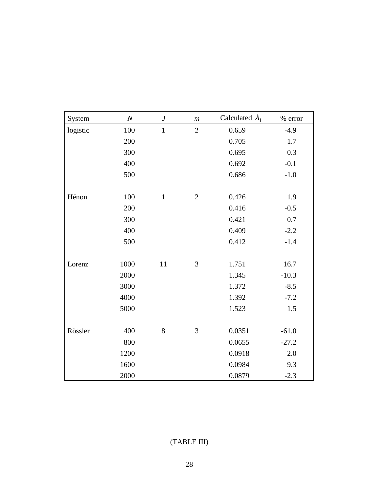| System   | $\boldsymbol{N}$ | $\boldsymbol{J}$ | $\,m$          | Calculated $\lambda_1$ | % error |
|----------|------------------|------------------|----------------|------------------------|---------|
| logistic | 100              | $\mathbf{1}$     | $\overline{2}$ | 0.659                  | $-4.9$  |
|          | 200              |                  |                | 0.705                  | 1.7     |
|          | 300              |                  |                | 0.695                  | 0.3     |
|          | 400              |                  |                | 0.692                  | $-0.1$  |
|          | 500              |                  |                | 0.686                  | $-1.0$  |
| Hénon    | 100              | $\mathbf{1}$     | $\mathbf{2}$   | 0.426                  | 1.9     |
|          | 200              |                  |                | 0.416                  | $-0.5$  |
|          | 300              |                  |                | 0.421                  | 0.7     |
|          | 400              |                  |                | 0.409                  | $-2.2$  |
|          | 500              |                  |                | 0.412                  | $-1.4$  |
| Lorenz   | 1000             | $11\,$           | 3              | 1.751                  | 16.7    |
|          | 2000             |                  |                | 1.345                  | $-10.3$ |
|          | 3000             |                  |                | 1.372                  | $-8.5$  |
|          | 4000             |                  |                | 1.392                  | $-7.2$  |
|          | 5000             |                  |                | 1.523                  | 1.5     |
| Rössler  | 400              | $8\,$            | 3              | 0.0351                 | $-61.0$ |
|          | 800              |                  |                | 0.0655                 | $-27.2$ |
|          | 1200             |                  |                | 0.0918                 | 2.0     |
|          | 1600             |                  |                | 0.0984                 | 9.3     |
|          | 2000             |                  |                | 0.0879                 | $-2.3$  |

## (TABLE III)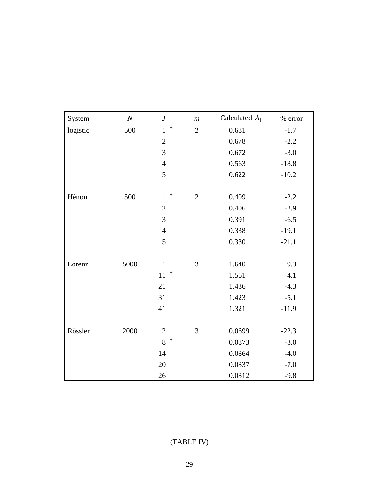| System   | $\boldsymbol{N}$ | $\boldsymbol{J}$       | $\,m$          | Calculated $\lambda_1$ | $\%$ error |
|----------|------------------|------------------------|----------------|------------------------|------------|
| logistic | 500              | $*$<br>$\mathbf{1}$    | $\overline{2}$ | 0.681                  | $-1.7$     |
|          |                  | $\sqrt{2}$             |                | 0.678                  | $-2.2$     |
|          |                  | 3                      |                | 0.672                  | $-3.0$     |
|          |                  | $\overline{4}$         |                | 0.563                  | $-18.8$    |
|          |                  | 5                      |                | 0.622                  | $-10.2$    |
| Hénon    | 500              | $\ast$<br>$\mathbf{1}$ | $\overline{2}$ | 0.409                  | $-2.2$     |
|          |                  | $\mathbf{2}$           |                | 0.406                  | $-2.9$     |
|          |                  | 3                      |                | 0.391                  | $-6.5$     |
|          |                  | $\overline{4}$         |                | 0.338                  | $-19.1$    |
|          |                  | 5                      |                | 0.330                  | $-21.1$    |
| Lorenz   | 5000             | $\mathbf{1}$           | 3              | 1.640                  | 9.3        |
|          |                  | $\ast$<br>11           |                | 1.561                  | 4.1        |
|          |                  | 21                     |                | 1.436                  | $-4.3$     |
|          |                  | 31                     |                | 1.423                  | $-5.1$     |
|          |                  | 41                     |                | 1.321                  | $-11.9$    |
| Rössler  | 2000             | $\sqrt{2}$             | 3              | 0.0699                 | $-22.3$    |
|          |                  | 8<br>$\ast$            |                | 0.0873                 | $-3.0$     |
|          |                  | 14                     |                | 0.0864                 | $-4.0$     |
|          |                  | 20                     |                | 0.0837                 | $-7.0$     |
|          |                  | 26                     |                | 0.0812                 | $-9.8$     |

## (TABLE IV)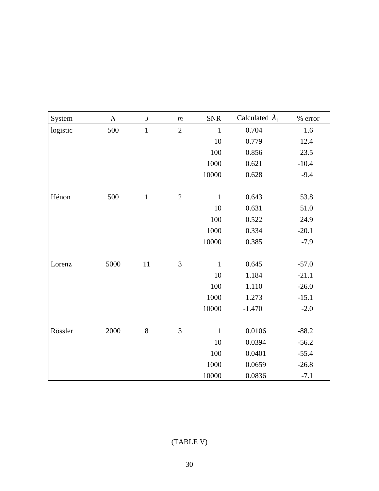| System   | $\cal N$ | $\boldsymbol{J}$ | $\,m$          | <b>SNR</b>   | Calculated $\lambda_1$ | % error |
|----------|----------|------------------|----------------|--------------|------------------------|---------|
| logistic | 500      | $\mathbf 1$      | $\overline{2}$ | $\mathbf{1}$ | 0.704                  | 1.6     |
|          |          |                  |                | 10           | 0.779                  | 12.4    |
|          |          |                  |                | 100          | 0.856                  | 23.5    |
|          |          |                  |                | 1000         | 0.621                  | $-10.4$ |
|          |          |                  |                | 10000        | 0.628                  | $-9.4$  |
|          |          |                  |                |              |                        |         |
| Hénon    | 500      | $\mathbf{1}$     | $\mathbf{2}$   | $\mathbf{1}$ | 0.643                  | 53.8    |
|          |          |                  |                | 10           | 0.631                  | 51.0    |
|          |          |                  |                | 100          | 0.522                  | 24.9    |
|          |          |                  |                | 1000         | 0.334                  | $-20.1$ |
|          |          |                  |                | 10000        | 0.385                  | $-7.9$  |
|          |          |                  |                |              |                        |         |
| Lorenz   | 5000     | $11\,$           | 3              | $\mathbf{1}$ | 0.645                  | $-57.0$ |
|          |          |                  |                | 10           | 1.184                  | $-21.1$ |
|          |          |                  |                | 100          | 1.110                  | $-26.0$ |
|          |          |                  |                | 1000         | 1.273                  | $-15.1$ |
|          |          |                  |                | 10000        | $-1.470$               | $-2.0$  |
|          |          |                  |                |              |                        |         |
| Rössler  | 2000     | $8\,$            | 3              | $\mathbf{1}$ | 0.0106                 | $-88.2$ |
|          |          |                  |                | 10           | 0.0394                 | $-56.2$ |
|          |          |                  |                | 100          | 0.0401                 | $-55.4$ |
|          |          |                  |                | 1000         | 0.0659                 | $-26.8$ |
|          |          |                  |                | 10000        | 0.0836                 | $-7.1$  |

## (TABLE V)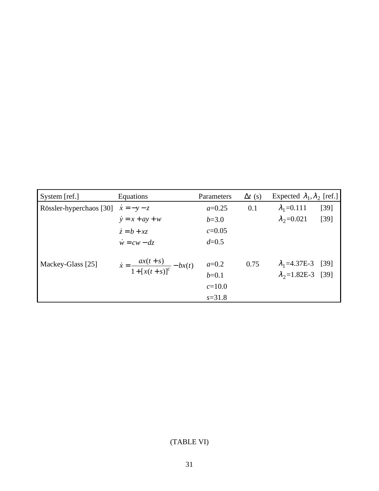| System [ref.]           | Equations                                          | Parameters | $\Delta t$ (s) | Expected $\lambda_1, \lambda_2$ [ref.] |        |
|-------------------------|----------------------------------------------------|------------|----------------|----------------------------------------|--------|
| Rössler-hyperchaos [30] | $\dot{x} = -y - z$                                 | $a=0.25$   | 0.1            | $\lambda_1 = 0.111$                    | $[39]$ |
|                         | $\dot{y} = x + ay + w$                             | $b=3.0$    |                | $\lambda_2$ =0.021                     | $[39]$ |
|                         | $\dot{z} = b + x\dot{z}$                           | $c = 0.05$ |                |                                        |        |
|                         | $\dot{w} = cw - dz$                                | $d = 0.5$  |                |                                        |        |
| Mackey-Glass [25]       | $\dot{x} = \frac{ax(t+s)}{1 + [x(t+s)]^c} - bx(t)$ | $a=0.2$    | 0.75           | $\lambda_1$ =4.37E-3 [39]              |        |
|                         |                                                    | $b=0.1$    |                | $\lambda_2 = 1.82E - 3$                | $[39]$ |
|                         |                                                    | $c=10.0$   |                |                                        |        |
|                         |                                                    | $s = 31.8$ |                |                                        |        |

## (TABLE VI)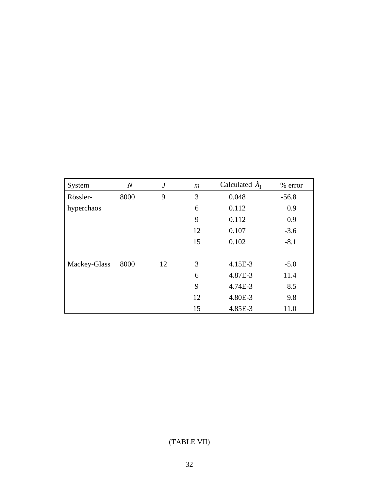| System       | $\boldsymbol{N}$ | $\boldsymbol{J}$ | $\boldsymbol{m}$ | Calculated $\lambda_1$ | % error |
|--------------|------------------|------------------|------------------|------------------------|---------|
| Rössler-     | 8000             | 9                | 3                | 0.048                  | $-56.8$ |
| hyperchaos   |                  |                  | 6                | 0.112                  | 0.9     |
|              |                  |                  | 9                | 0.112                  | 0.9     |
|              |                  |                  | 12               | 0.107                  | $-3.6$  |
|              |                  |                  | 15               | 0.102                  | $-8.1$  |
|              |                  |                  |                  |                        |         |
| Mackey-Glass | 8000             | 12               | 3                | 4.15E-3                | $-5.0$  |
|              |                  |                  | 6                | 4.87E-3                | 11.4    |
|              |                  |                  | 9                | 4.74E-3                | 8.5     |
|              |                  |                  | 12               | 4.80E-3                | 9.8     |
|              |                  |                  | 15               | 4.85E-3                | 11.0    |

### (TABLE VII)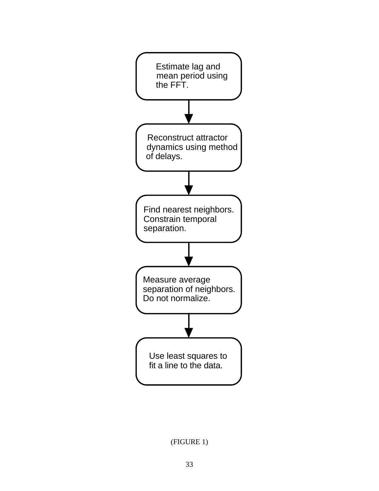

(FIGURE 1)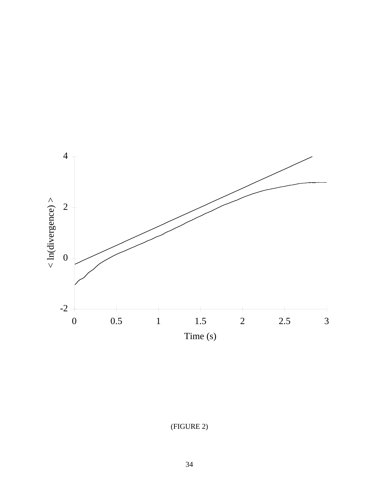

(FIGURE 2)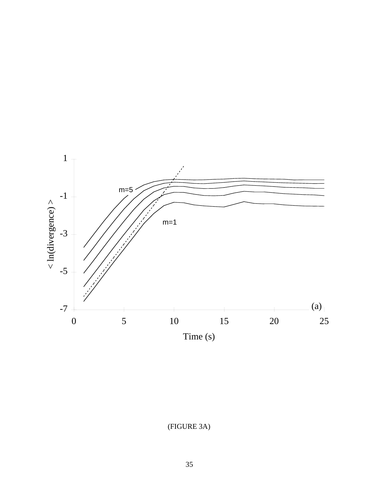

(FIGURE 3A)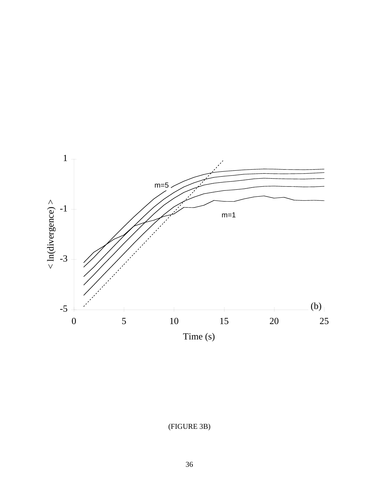

(FIGURE 3B)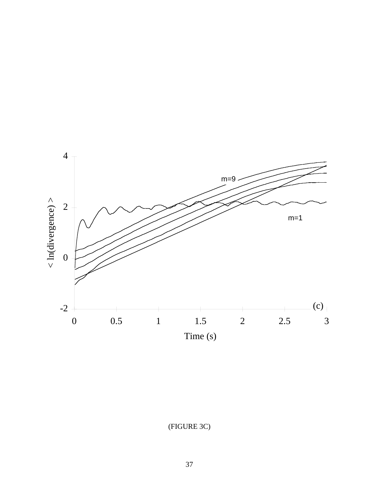

(FIGURE 3C)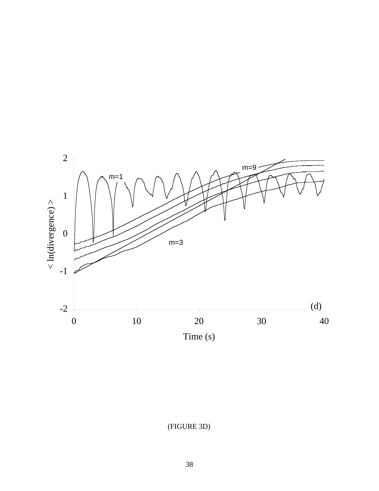

(FIGURE 3D)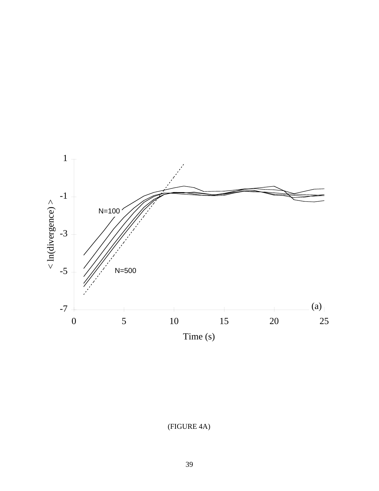

(FIGURE 4A)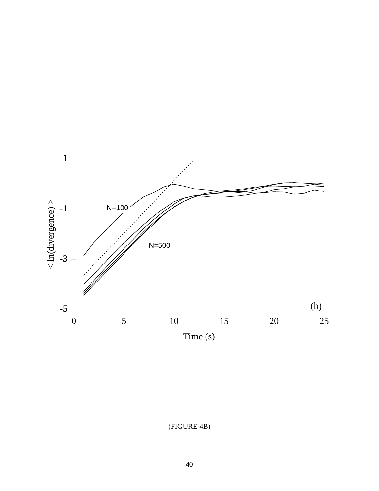

(FIGURE 4B)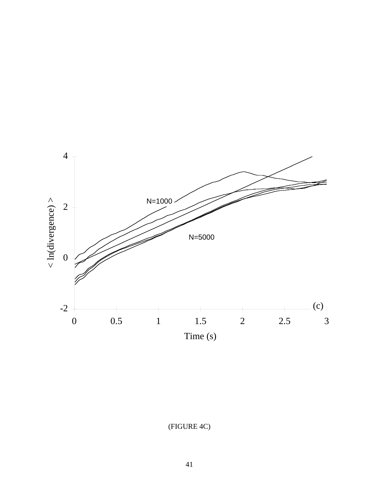

(FIGURE 4C)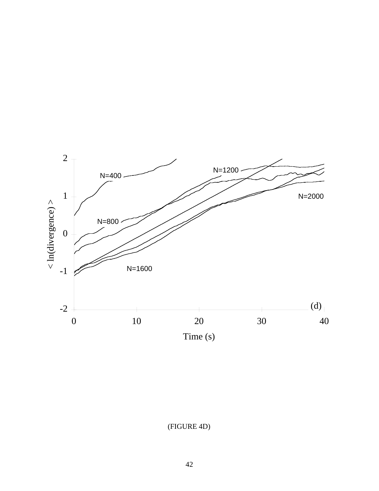

(FIGURE 4D)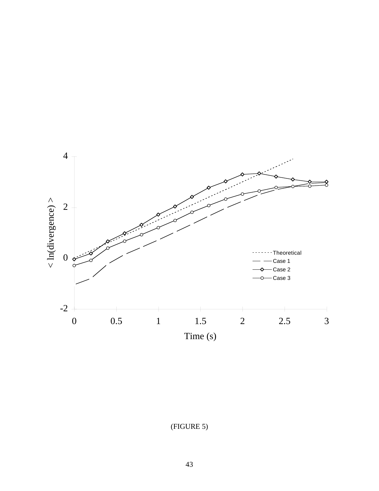

(FIGURE 5)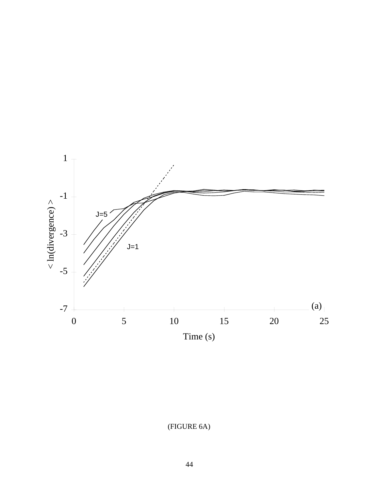

(FIGURE 6A)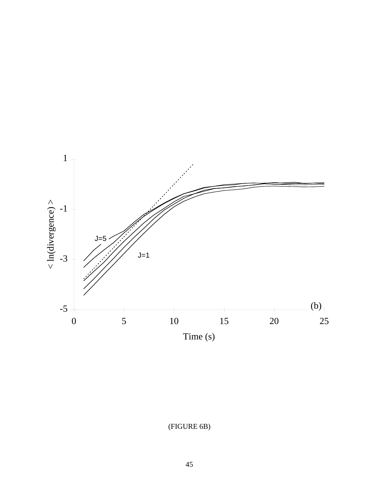

(FIGURE 6B)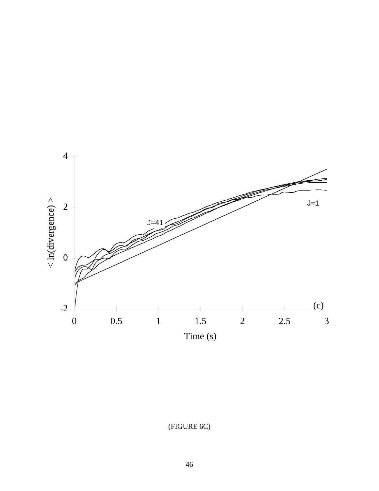

(FIGURE 6C)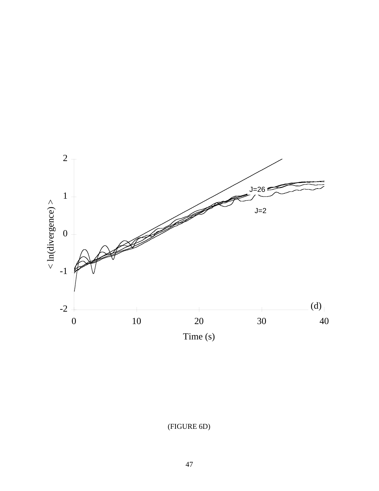

(FIGURE 6D)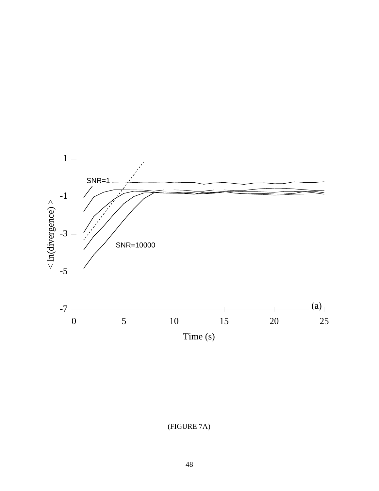

(FIGURE 7A)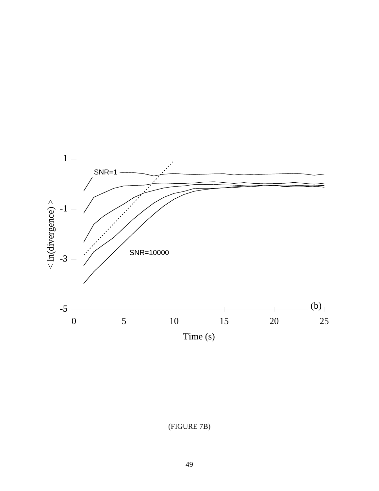

(FIGURE 7B)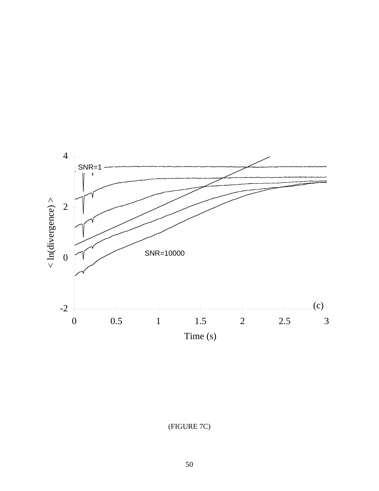

(FIGURE 7C)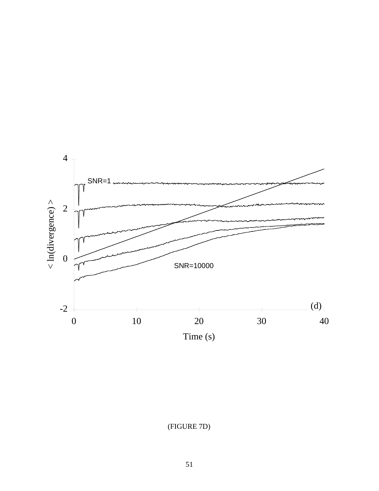

(FIGURE 7D)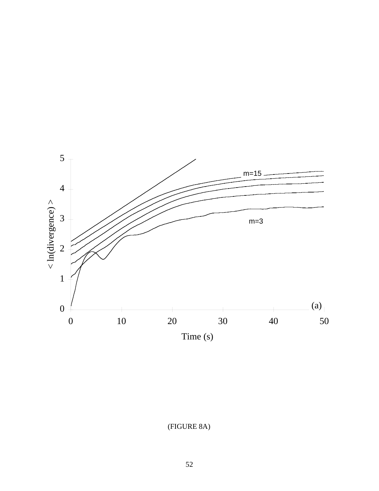

(FIGURE 8A)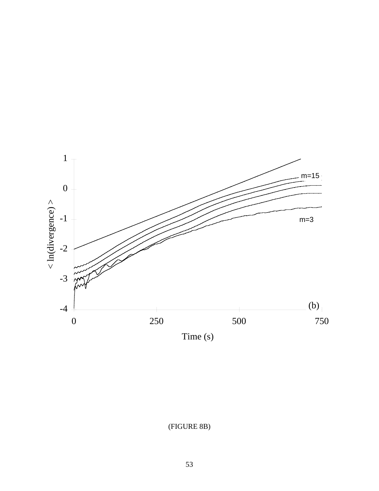

(FIGURE 8B)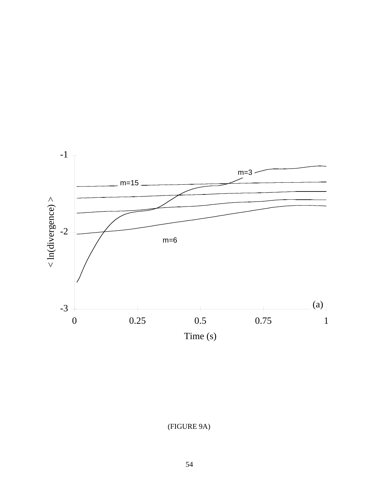

(FIGURE 9A)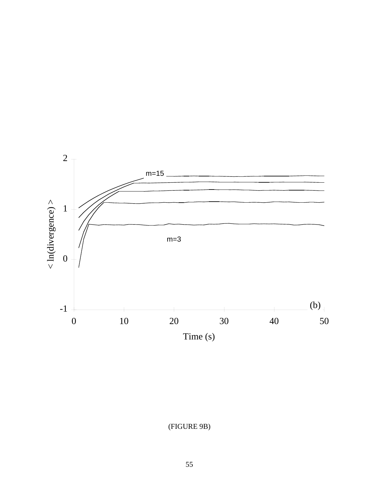

(FIGURE 9B)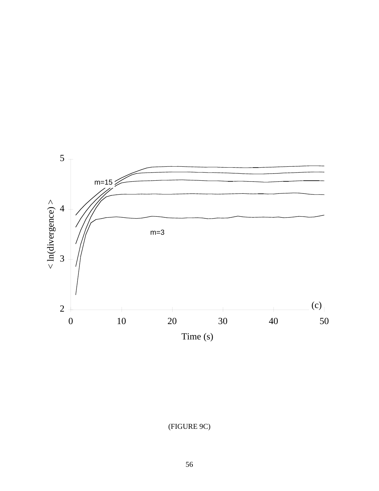

(FIGURE 9C)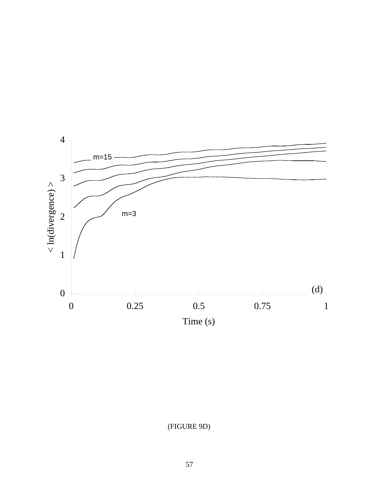

(FIGURE 9D)